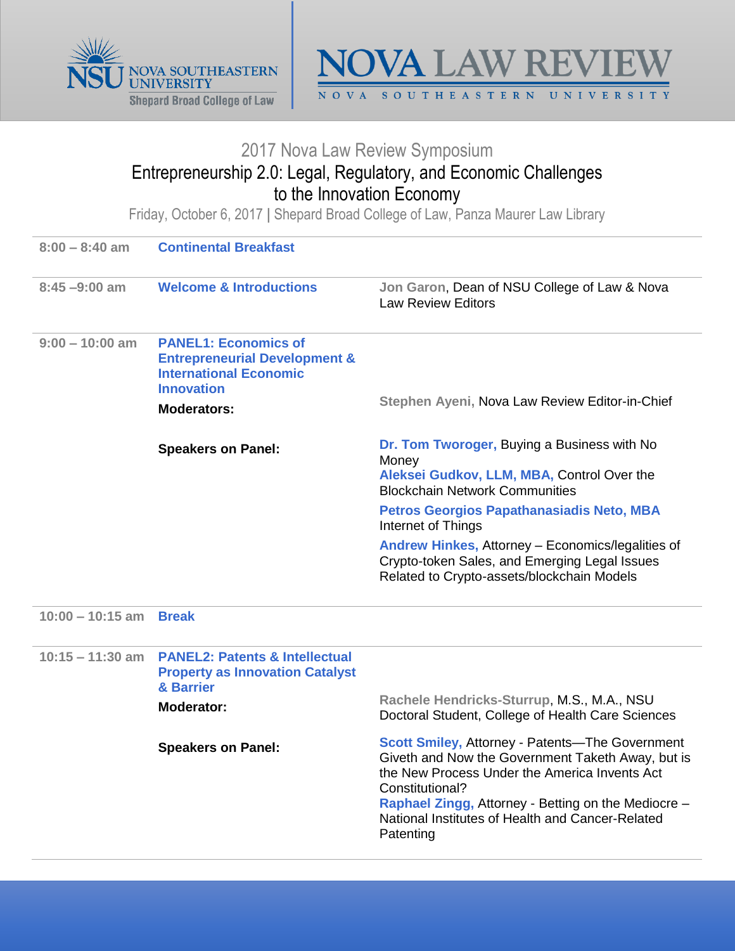



## 2017 Nova Law Review Symposium

## Entrepreneurship 2.0: Legal, Regulatory, and Economic Challenges to the Innovation Economy

Friday, October 6, 2017 **|** Shepard Broad College of Law, Panza Maurer Law Library

| $8:00 - 8:40$ am   | <b>Continental Breakfast</b>                                                                                                                        |                                                                                                                                                                                                                                                                                                         |
|--------------------|-----------------------------------------------------------------------------------------------------------------------------------------------------|---------------------------------------------------------------------------------------------------------------------------------------------------------------------------------------------------------------------------------------------------------------------------------------------------------|
| $8:45 - 9:00$ am   | <b>Welcome &amp; Introductions</b>                                                                                                                  | Jon Garon, Dean of NSU College of Law & Nova<br><b>Law Review Editors</b>                                                                                                                                                                                                                               |
| $9:00 - 10:00$ am  | <b>PANEL1: Economics of</b><br><b>Entrepreneurial Development &amp;</b><br><b>International Economic</b><br><b>Innovation</b><br><b>Moderators:</b> | Stephen Ayeni, Nova Law Review Editor-in-Chief                                                                                                                                                                                                                                                          |
|                    | <b>Speakers on Panel:</b>                                                                                                                           | Dr. Tom Tworoger, Buying a Business with No<br>Money<br>Aleksei Gudkov, LLM, MBA, Control Over the<br><b>Blockchain Network Communities</b>                                                                                                                                                             |
|                    |                                                                                                                                                     | Petros Georgios Papathanasiadis Neto, MBA<br>Internet of Things                                                                                                                                                                                                                                         |
|                    |                                                                                                                                                     | Andrew Hinkes, Attorney - Economics/legalities of<br>Crypto-token Sales, and Emerging Legal Issues<br>Related to Crypto-assets/blockchain Models                                                                                                                                                        |
| $10:00 - 10:15$ am | <b>Break</b>                                                                                                                                        |                                                                                                                                                                                                                                                                                                         |
| $10:15 - 11:30$ am | <b>PANEL2: Patents &amp; Intellectual</b><br><b>Property as Innovation Catalyst</b><br>& Barrier<br>Moderator:                                      | Rachele Hendricks-Sturrup, M.S., M.A., NSU<br>Doctoral Student, College of Health Care Sciences                                                                                                                                                                                                         |
|                    | <b>Speakers on Panel:</b>                                                                                                                           | <b>Scott Smiley, Attorney - Patents-The Government</b><br>Giveth and Now the Government Taketh Away, but is<br>the New Process Under the America Invents Act<br>Constitutional?<br>Raphael Zingg, Attorney - Betting on the Mediocre -<br>National Institutes of Health and Cancer-Related<br>Patenting |